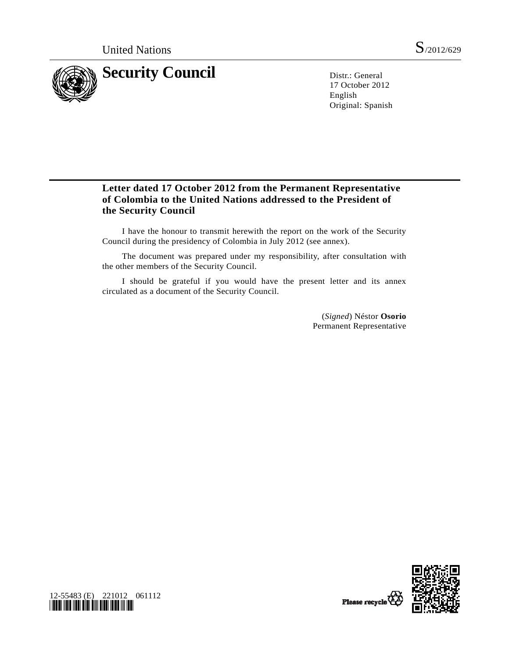

17 October 2012 English Original: Spanish

# **Letter dated 17 October 2012 from the Permanent Representative of Colombia to the United Nations addressed to the President of the Security Council**

 I have the honour to transmit herewith the report on the work of the Security Council during the presidency of Colombia in July 2012 (see annex).

 The document was prepared under my responsibility, after consultation with the other members of the Security Council.

 I should be grateful if you would have the present letter and its annex circulated as a document of the Security Council.

> (*Signed*) Néstor **Osorio** Permanent Representative



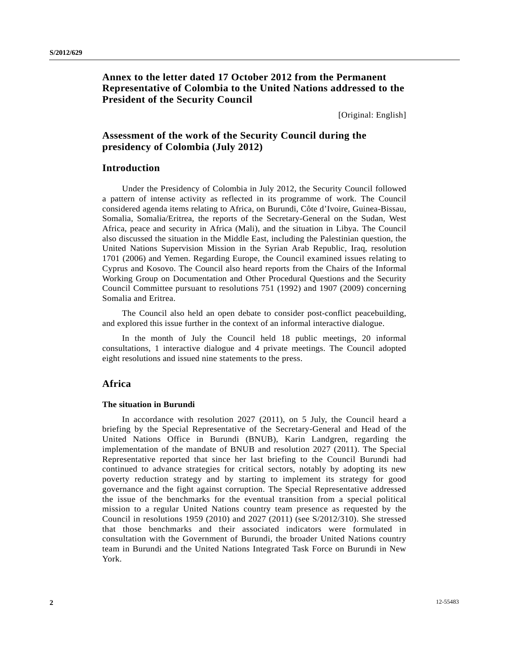# **Annex to the letter dated 17 October 2012 from the Permanent Representative of Colombia to the United Nations addressed to the President of the Security Council**

[Original: English]

# **Assessment of the work of the Security Council during the presidency of Colombia (July 2012)**

# **Introduction**

 Under the Presidency of Colombia in July 2012, the Security Council followed a pattern of intense activity as reflected in its programme of work. The Council considered agenda items relating to Africa, on Burundi, Côte d'Ivoire, Guinea-Bissau, Somalia, Somalia/Eritrea, the reports of the Secretary-General on the Sudan, West Africa, peace and security in Africa (Mali), and the situation in Libya. The Council also discussed the situation in the Middle East, including the Palestinian question, the United Nations Supervision Mission in the Syrian Arab Republic, Iraq, resolution 1701 (2006) and Yemen. Regarding Europe, the Council examined issues relating to Cyprus and Kosovo. The Council also heard reports from the Chairs of the Informal Working Group on Documentation and Other Procedural Questions and the Security Council Committee pursuant to resolutions 751 (1992) and 1907 (2009) concerning Somalia and Eritrea.

 The Council also held an open debate to consider post-conflict peacebuilding, and explored this issue further in the context of an informal interactive dialogue.

 In the month of July the Council held 18 public meetings, 20 informal consultations, 1 interactive dialogue and 4 private meetings. The Council adopted eight resolutions and issued nine statements to the press.

## **Africa**

#### **The situation in Burundi**

 In accordance with resolution 2027 (2011), on 5 July, the Council heard a briefing by the Special Representative of the Secretary-General and Head of the United Nations Office in Burundi (BNUB), Karin Landgren, regarding the implementation of the mandate of BNUB and resolution 2027 (2011). The Special Representative reported that since her last briefing to the Council Burundi had continued to advance strategies for critical sectors, notably by adopting its new poverty reduction strategy and by starting to implement its strategy for good governance and the fight against corruption. The Special Representative addressed the issue of the benchmarks for the eventual transition from a special political mission to a regular United Nations country team presence as requested by the Council in resolutions 1959 (2010) and 2027 (2011) (see S/2012/310). She stressed that those benchmarks and their associated indicators were formulated in consultation with the Government of Burundi, the broader United Nations country team in Burundi and the United Nations Integrated Task Force on Burundi in New York.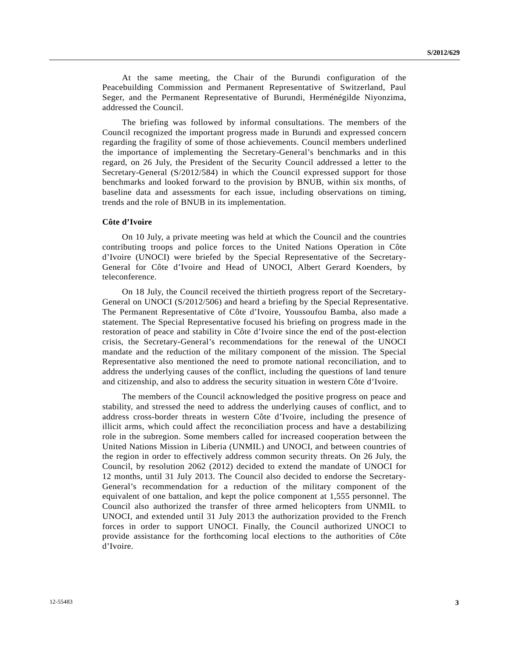At the same meeting, the Chair of the Burundi configuration of the Peacebuilding Commission and Permanent Representative of Switzerland, Paul Seger, and the Permanent Representative of Burundi, Herménégilde Niyonzima, addressed the Council.

 The briefing was followed by informal consultations. The members of the Council recognized the important progress made in Burundi and expressed concern regarding the fragility of some of those achievements. Council members underlined the importance of implementing the Secretary-General's benchmarks and in this regard, on 26 July, the President of the Security Council addressed a letter to the Secretary-General (S/2012/584) in which the Council expressed support for those benchmarks and looked forward to the provision by BNUB, within six months, of baseline data and assessments for each issue, including observations on timing, trends and the role of BNUB in its implementation.

### **Côte d'Ivoire**

 On 10 July, a private meeting was held at which the Council and the countries contributing troops and police forces to the United Nations Operation in Côte d'Ivoire (UNOCI) were briefed by the Special Representative of the Secretary-General for Côte d'Ivoire and Head of UNOCI, Albert Gerard Koenders, by teleconference.

 On 18 July, the Council received the thirtieth progress report of the Secretary-General on UNOCI (S/2012/506) and heard a briefing by the Special Representative. The Permanent Representative of Côte d'Ivoire, Youssoufou Bamba, also made a statement. The Special Representative focused his briefing on progress made in the restoration of peace and stability in Côte d'Ivoire since the end of the post-election crisis, the Secretary-General's recommendations for the renewal of the UNOCI mandate and the reduction of the military component of the mission. The Special Representative also mentioned the need to promote national reconciliation, and to address the underlying causes of the conflict, including the questions of land tenure and citizenship, and also to address the security situation in western Côte d'Ivoire.

 The members of the Council acknowledged the positive progress on peace and stability, and stressed the need to address the underlying causes of conflict, and to address cross-border threats in western Côte d'Ivoire, including the presence of illicit arms, which could affect the reconciliation process and have a destabilizing role in the subregion. Some members called for increased cooperation between the United Nations Mission in Liberia (UNMIL) and UNOCI, and between countries of the region in order to effectively address common security threats. On 26 July, the Council, by resolution 2062 (2012) decided to extend the mandate of UNOCI for 12 months, until 31 July 2013. The Council also decided to endorse the Secretary-General's recommendation for a reduction of the military component of the equivalent of one battalion, and kept the police component at 1,555 personnel. The Council also authorized the transfer of three armed helicopters from UNMIL to UNOCI, and extended until 31 July 2013 the authorization provided to the French forces in order to support UNOCI. Finally, the Council authorized UNOCI to provide assistance for the forthcoming local elections to the authorities of Côte d'Ivoire.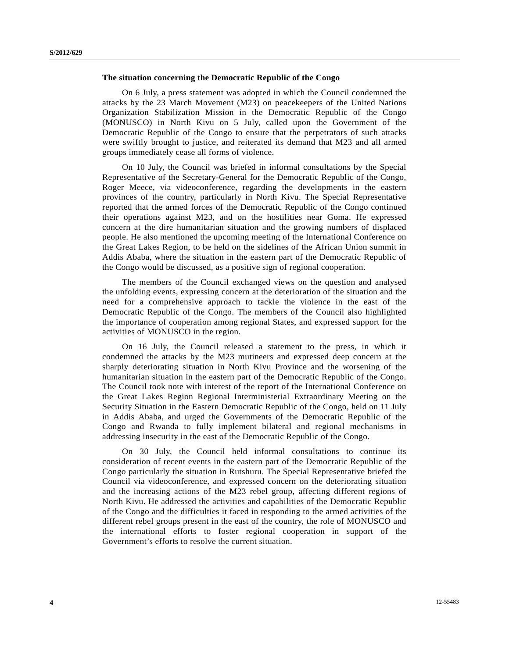#### **The situation concerning the Democratic Republic of the Congo**

 On 6 July, a press statement was adopted in which the Council condemned the attacks by the 23 March Movement (M23) on peacekeepers of the United Nations Organization Stabilization Mission in the Democratic Republic of the Congo (MONUSCO) in North Kivu on 5 July, called upon the Government of the Democratic Republic of the Congo to ensure that the perpetrators of such attacks were swiftly brought to justice, and reiterated its demand that M23 and all armed groups immediately cease all forms of violence.

 On 10 July, the Council was briefed in informal consultations by the Special Representative of the Secretary-General for the Democratic Republic of the Congo, Roger Meece, via videoconference, regarding the developments in the eastern provinces of the country, particularly in North Kivu. The Special Representative reported that the armed forces of the Democratic Republic of the Congo continued their operations against M23, and on the hostilities near Goma. He expressed concern at the dire humanitarian situation and the growing numbers of displaced people. He also mentioned the upcoming meeting of the International Conference on the Great Lakes Region, to be held on the sidelines of the African Union summit in Addis Ababa, where the situation in the eastern part of the Democratic Republic of the Congo would be discussed, as a positive sign of regional cooperation.

 The members of the Council exchanged views on the question and analysed the unfolding events, expressing concern at the deterioration of the situation and the need for a comprehensive approach to tackle the violence in the east of the Democratic Republic of the Congo. The members of the Council also highlighted the importance of cooperation among regional States, and expressed support for the activities of MONUSCO in the region.

 On 16 July, the Council released a statement to the press, in which it condemned the attacks by the M23 mutineers and expressed deep concern at the sharply deteriorating situation in North Kivu Province and the worsening of the humanitarian situation in the eastern part of the Democratic Republic of the Congo. The Council took note with interest of the report of the International Conference on the Great Lakes Region Regional Interministerial Extraordinary Meeting on the Security Situation in the Eastern Democratic Republic of the Congo, held on 11 July in Addis Ababa, and urged the Governments of the Democratic Republic of the Congo and Rwanda to fully implement bilateral and regional mechanisms in addressing insecurity in the east of the Democratic Republic of the Congo.

 On 30 July, the Council held informal consultations to continue its consideration of recent events in the eastern part of the Democratic Republic of the Congo particularly the situation in Rutshuru. The Special Representative briefed the Council via videoconference, and expressed concern on the deteriorating situation and the increasing actions of the M23 rebel group, affecting different regions of North Kivu. He addressed the activities and capabilities of the Democratic Republic of the Congo and the difficulties it faced in responding to the armed activities of the different rebel groups present in the east of the country, the role of MONUSCO and the international efforts to foster regional cooperation in support of the Government's efforts to resolve the current situation.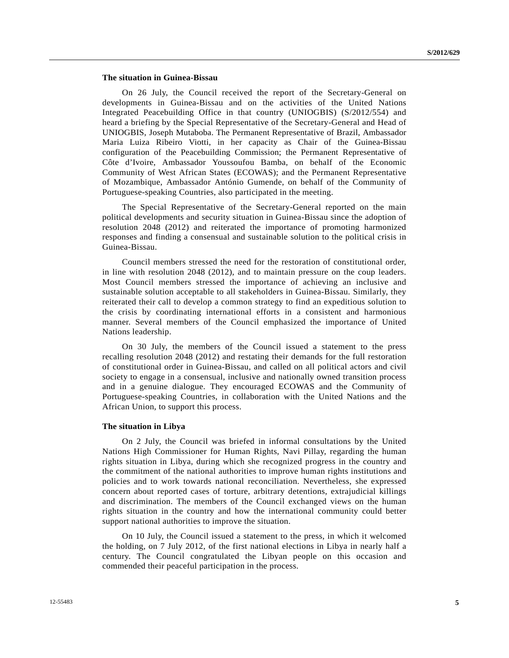### **The situation in Guinea-Bissau**

 On 26 July, the Council received the report of the Secretary-General on developments in Guinea-Bissau and on the activities of the United Nations Integrated Peacebuilding Office in that country (UNIOGBIS) (S/2012/554) and heard a briefing by the Special Representative of the Secretary-General and Head of UNIOGBIS, Joseph Mutaboba. The Permanent Representative of Brazil, Ambassador Maria Luiza Ribeiro Viotti, in her capacity as Chair of the Guinea-Bissau configuration of the Peacebuilding Commission; the Permanent Representative of Côte d'Ivoire, Ambassador Youssoufou Bamba, on behalf of the Economic Community of West African States (ECOWAS); and the Permanent Representative of Mozambique, Ambassador António Gumende, on behalf of the Community of Portuguese-speaking Countries, also participated in the meeting.

 The Special Representative of the Secretary-General reported on the main political developments and security situation in Guinea-Bissau since the adoption of resolution 2048 (2012) and reiterated the importance of promoting harmonized responses and finding a consensual and sustainable solution to the political crisis in Guinea-Bissau.

 Council members stressed the need for the restoration of constitutional order, in line with resolution 2048 (2012), and to maintain pressure on the coup leaders. Most Council members stressed the importance of achieving an inclusive and sustainable solution acceptable to all stakeholders in Guinea-Bissau. Similarly, they reiterated their call to develop a common strategy to find an expeditious solution to the crisis by coordinating international efforts in a consistent and harmonious manner. Several members of the Council emphasized the importance of United Nations leadership.

 On 30 July, the members of the Council issued a statement to the press recalling resolution 2048 (2012) and restating their demands for the full restoration of constitutional order in Guinea-Bissau, and called on all political actors and civil society to engage in a consensual, inclusive and nationally owned transition process and in a genuine dialogue. They encouraged ECOWAS and the Community of Portuguese-speaking Countries, in collaboration with the United Nations and the African Union, to support this process.

#### **The situation in Libya**

 On 2 July, the Council was briefed in informal consultations by the United Nations High Commissioner for Human Rights, Navi Pillay, regarding the human rights situation in Libya, during which she recognized progress in the country and the commitment of the national authorities to improve human rights institutions and policies and to work towards national reconciliation. Nevertheless, she expressed concern about reported cases of torture, arbitrary detentions, extrajudicial killings and discrimination. The members of the Council exchanged views on the human rights situation in the country and how the international community could better support national authorities to improve the situation.

 On 10 July, the Council issued a statement to the press, in which it welcomed the holding, on 7 July 2012, of the first national elections in Libya in nearly half a century. The Council congratulated the Libyan people on this occasion and commended their peaceful participation in the process.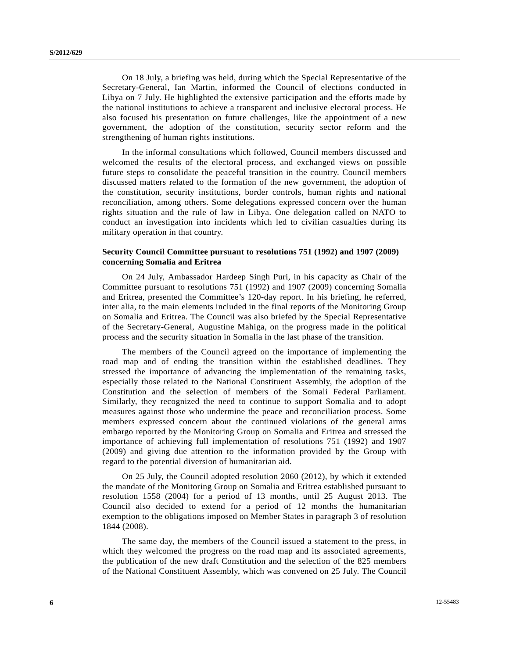On 18 July, a briefing was held, during which the Special Representative of the Secretary-General, Ian Martin, informed the Council of elections conducted in Libya on 7 July. He highlighted the extensive participation and the efforts made by the national institutions to achieve a transparent and inclusive electoral process. He also focused his presentation on future challenges, like the appointment of a new government, the adoption of the constitution, security sector reform and the strengthening of human rights institutions.

 In the informal consultations which followed, Council members discussed and welcomed the results of the electoral process, and exchanged views on possible future steps to consolidate the peaceful transition in the country. Council members discussed matters related to the formation of the new government, the adoption of the constitution, security institutions, border controls, human rights and national reconciliation, among others. Some delegations expressed concern over the human rights situation and the rule of law in Libya. One delegation called on NATO to conduct an investigation into incidents which led to civilian casualties during its military operation in that country.

### **Security Council Committee pursuant to resolutions 751 (1992) and 1907 (2009) concerning Somalia and Eritrea**

 On 24 July, Ambassador Hardeep Singh Puri, in his capacity as Chair of the Committee pursuant to resolutions 751 (1992) and 1907 (2009) concerning Somalia and Eritrea, presented the Committee's 120-day report. In his briefing, he referred, inter alia, to the main elements included in the final reports of the Monitoring Group on Somalia and Eritrea. The Council was also briefed by the Special Representative of the Secretary-General, Augustine Mahiga, on the progress made in the political process and the security situation in Somalia in the last phase of the transition.

 The members of the Council agreed on the importance of implementing the road map and of ending the transition within the established deadlines. They stressed the importance of advancing the implementation of the remaining tasks, especially those related to the National Constituent Assembly, the adoption of the Constitution and the selection of members of the Somali Federal Parliament. Similarly, they recognized the need to continue to support Somalia and to adopt measures against those who undermine the peace and reconciliation process. Some members expressed concern about the continued violations of the general arms embargo reported by the Monitoring Group on Somalia and Eritrea and stressed the importance of achieving full implementation of resolutions 751 (1992) and 1907 (2009) and giving due attention to the information provided by the Group with regard to the potential diversion of humanitarian aid.

 On 25 July, the Council adopted resolution 2060 (2012), by which it extended the mandate of the Monitoring Group on Somalia and Eritrea established pursuant to resolution 1558 (2004) for a period of 13 months, until 25 August 2013. The Council also decided to extend for a period of 12 months the humanitarian exemption to the obligations imposed on Member States in paragraph 3 of resolution 1844 (2008).

 The same day, the members of the Council issued a statement to the press, in which they welcomed the progress on the road map and its associated agreements, the publication of the new draft Constitution and the selection of the 825 members of the National Constituent Assembly, which was convened on 25 July. The Council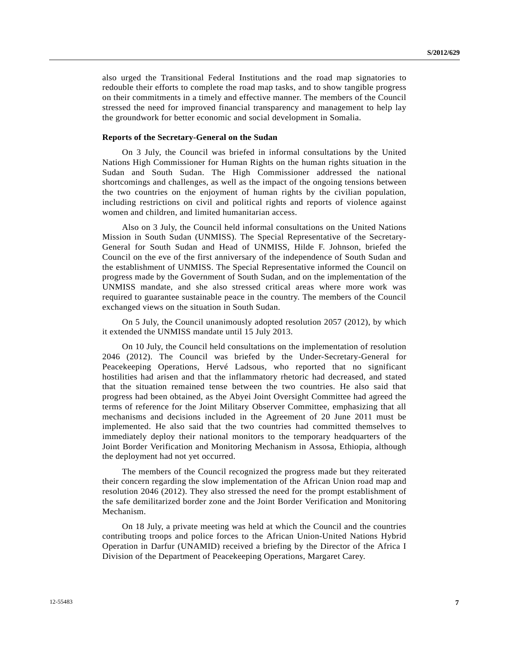also urged the Transitional Federal Institutions and the road map signatories to redouble their efforts to complete the road map tasks, and to show tangible progress on their commitments in a timely and effective manner. The members of the Council stressed the need for improved financial transparency and management to help lay the groundwork for better economic and social development in Somalia.

### **Reports of the Secretary-General on the Sudan**

 On 3 July, the Council was briefed in informal consultations by the United Nations High Commissioner for Human Rights on the human rights situation in the Sudan and South Sudan. The High Commissioner addressed the national shortcomings and challenges, as well as the impact of the ongoing tensions between the two countries on the enjoyment of human rights by the civilian population, including restrictions on civil and political rights and reports of violence against women and children, and limited humanitarian access.

 Also on 3 July, the Council held informal consultations on the United Nations Mission in South Sudan (UNMISS). The Special Representative of the Secretary-General for South Sudan and Head of UNMISS, Hilde F. Johnson, briefed the Council on the eve of the first anniversary of the independence of South Sudan and the establishment of UNMISS. The Special Representative informed the Council on progress made by the Government of South Sudan, and on the implementation of the UNMISS mandate, and she also stressed critical areas where more work was required to guarantee sustainable peace in the country. The members of the Council exchanged views on the situation in South Sudan.

 On 5 July, the Council unanimously adopted resolution 2057 (2012), by which it extended the UNMISS mandate until 15 July 2013.

 On 10 July, the Council held consultations on the implementation of resolution 2046 (2012). The Council was briefed by the Under-Secretary-General for Peacekeeping Operations, Hervé Ladsous, who reported that no significant hostilities had arisen and that the inflammatory rhetoric had decreased, and stated that the situation remained tense between the two countries. He also said that progress had been obtained, as the Abyei Joint Oversight Committee had agreed the terms of reference for the Joint Military Observer Committee, emphasizing that all mechanisms and decisions included in the Agreement of 20 June 2011 must be implemented. He also said that the two countries had committed themselves to immediately deploy their national monitors to the temporary headquarters of the Joint Border Verification and Monitoring Mechanism in Assosa, Ethiopia, although the deployment had not yet occurred.

 The members of the Council recognized the progress made but they reiterated their concern regarding the slow implementation of the African Union road map and resolution 2046 (2012). They also stressed the need for the prompt establishment of the safe demilitarized border zone and the Joint Border Verification and Monitoring Mechanism.

 On 18 July, a private meeting was held at which the Council and the countries contributing troops and police forces to the African Union-United Nations Hybrid Operation in Darfur (UNAMID) received a briefing by the Director of the Africa I Division of the Department of Peacekeeping Operations, Margaret Carey.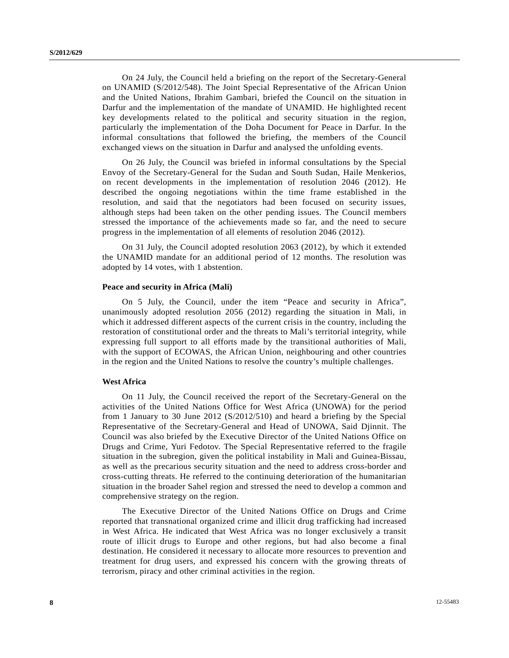On 24 July, the Council held a briefing on the report of the Secretary-General on UNAMID (S/2012/548). The Joint Special Representative of the African Union and the United Nations, Ibrahim Gambari, briefed the Council on the situation in Darfur and the implementation of the mandate of UNAMID. He highlighted recent key developments related to the political and security situation in the region, particularly the implementation of the Doha Document for Peace in Darfur. In the informal consultations that followed the briefing, the members of the Council exchanged views on the situation in Darfur and analysed the unfolding events.

 On 26 July, the Council was briefed in informal consultations by the Special Envoy of the Secretary-General for the Sudan and South Sudan, Haile Menkerios, on recent developments in the implementation of resolution 2046 (2012). He described the ongoing negotiations within the time frame established in the resolution, and said that the negotiators had been focused on security issues, although steps had been taken on the other pending issues. The Council members stressed the importance of the achievements made so far, and the need to secure progress in the implementation of all elements of resolution 2046 (2012).

 On 31 July, the Council adopted resolution 2063 (2012), by which it extended the UNAMID mandate for an additional period of 12 months. The resolution was adopted by 14 votes, with 1 abstention.

#### **Peace and security in Africa (Mali)**

 On 5 July, the Council, under the item "Peace and security in Africa", unanimously adopted resolution 2056 (2012) regarding the situation in Mali, in which it addressed different aspects of the current crisis in the country, including the restoration of constitutional order and the threats to Mali's territorial integrity, while expressing full support to all efforts made by the transitional authorities of Mali, with the support of ECOWAS, the African Union, neighbouring and other countries in the region and the United Nations to resolve the country's multiple challenges.

#### **West Africa**

 On 11 July, the Council received the report of the Secretary-General on the activities of the United Nations Office for West Africa (UNOWA) for the period from 1 January to 30 June 2012 (S/2012/510) and heard a briefing by the Special Representative of the Secretary-General and Head of UNOWA, Said Djinnit. The Council was also briefed by the Executive Director of the United Nations Office on Drugs and Crime, Yuri Fedotov. The Special Representative referred to the fragile situation in the subregion, given the political instability in Mali and Guinea-Bissau, as well as the precarious security situation and the need to address cross-border and cross-cutting threats. He referred to the continuing deterioration of the humanitarian situation in the broader Sahel region and stressed the need to develop a common and comprehensive strategy on the region.

 The Executive Director of the United Nations Office on Drugs and Crime reported that transnational organized crime and illicit drug trafficking had increased in West Africa. He indicated that West Africa was no longer exclusively a transit route of illicit drugs to Europe and other regions, but had also become a final destination. He considered it necessary to allocate more resources to prevention and treatment for drug users, and expressed his concern with the growing threats of terrorism, piracy and other criminal activities in the region.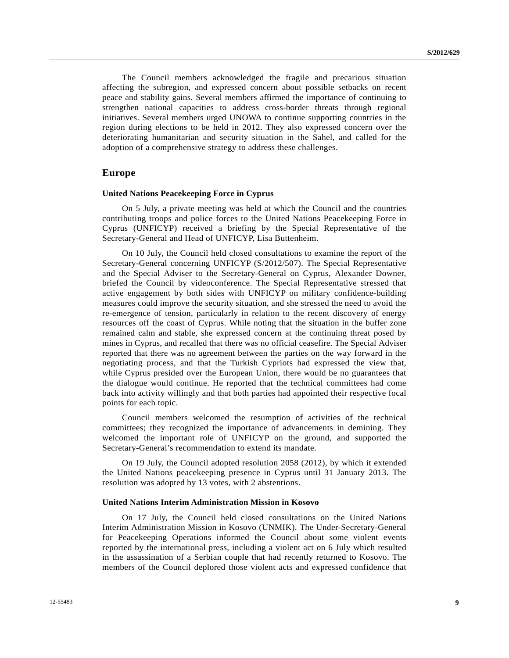The Council members acknowledged the fragile and precarious situation affecting the subregion, and expressed concern about possible setbacks on recent peace and stability gains. Several members affirmed the importance of continuing to strengthen national capacities to address cross-border threats through regional initiatives. Several members urged UNOWA to continue supporting countries in the region during elections to be held in 2012. They also expressed concern over the deteriorating humanitarian and security situation in the Sahel, and called for the adoption of a comprehensive strategy to address these challenges.

## **Europe**

#### **United Nations Peacekeeping Force in Cyprus**

 On 5 July, a private meeting was held at which the Council and the countries contributing troops and police forces to the United Nations Peacekeeping Force in Cyprus (UNFICYP) received a briefing by the Special Representative of the Secretary-General and Head of UNFICYP, Lisa Buttenheim.

 On 10 July, the Council held closed consultations to examine the report of the Secretary-General concerning UNFICYP (S/2012/507). The Special Representative and the Special Adviser to the Secretary-General on Cyprus, Alexander Downer, briefed the Council by videoconference. The Special Representative stressed that active engagement by both sides with UNFICYP on military confidence-building measures could improve the security situation, and she stressed the need to avoid the re-emergence of tension, particularly in relation to the recent discovery of energy resources off the coast of Cyprus. While noting that the situation in the buffer zone remained calm and stable, she expressed concern at the continuing threat posed by mines in Cyprus, and recalled that there was no official ceasefire. The Special Adviser reported that there was no agreement between the parties on the way forward in the negotiating process, and that the Turkish Cypriots had expressed the view that, while Cyprus presided over the European Union, there would be no guarantees that the dialogue would continue. He reported that the technical committees had come back into activity willingly and that both parties had appointed their respective focal points for each topic.

 Council members welcomed the resumption of activities of the technical committees; they recognized the importance of advancements in demining. They welcomed the important role of UNFICYP on the ground, and supported the Secretary-General's recommendation to extend its mandate.

 On 19 July, the Council adopted resolution 2058 (2012), by which it extended the United Nations peacekeeping presence in Cyprus until 31 January 2013. The resolution was adopted by 13 votes, with 2 abstentions.

#### **United Nations Interim Administration Mission in Kosovo**

 On 17 July, the Council held closed consultations on the United Nations Interim Administration Mission in Kosovo (UNMIK). The Under-Secretary-General for Peacekeeping Operations informed the Council about some violent events reported by the international press, including a violent act on 6 July which resulted in the assassination of a Serbian couple that had recently returned to Kosovo. The members of the Council deplored those violent acts and expressed confidence that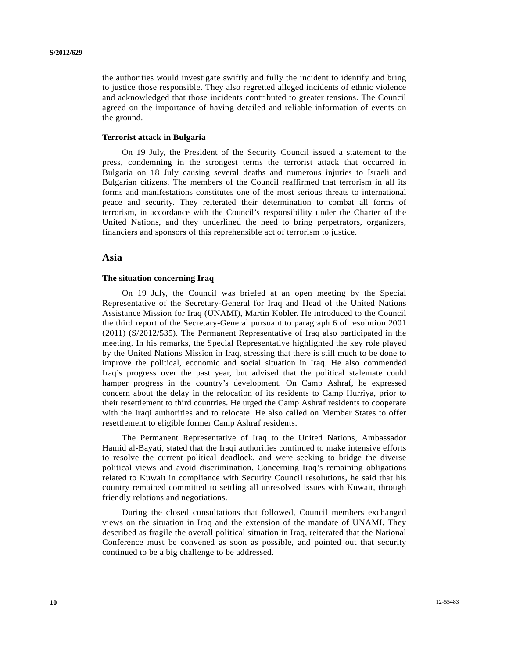the authorities would investigate swiftly and fully the incident to identify and bring to justice those responsible. They also regretted alleged incidents of ethnic violence and acknowledged that those incidents contributed to greater tensions. The Council agreed on the importance of having detailed and reliable information of events on the ground.

### **Terrorist attack in Bulgaria**

 On 19 July, the President of the Security Council issued a statement to the press, condemning in the strongest terms the terrorist attack that occurred in Bulgaria on 18 July causing several deaths and numerous injuries to Israeli and Bulgarian citizens. The members of the Council reaffirmed that terrorism in all its forms and manifestations constitutes one of the most serious threats to international peace and security. They reiterated their determination to combat all forms of terrorism, in accordance with the Council's responsibility under the Charter of the United Nations, and they underlined the need to bring perpetrators, organizers, financiers and sponsors of this reprehensible act of terrorism to justice.

## **Asia**

### **The situation concerning Iraq**

 On 19 July, the Council was briefed at an open meeting by the Special Representative of the Secretary-General for Iraq and Head of the United Nations Assistance Mission for Iraq (UNAMI), Martin Kobler. He introduced to the Council the third report of the Secretary-General pursuant to paragraph 6 of resolution 2001 (2011) (S/2012/535). The Permanent Representative of Iraq also participated in the meeting. In his remarks, the Special Representative highlighted the key role played by the United Nations Mission in Iraq, stressing that there is still much to be done to improve the political, economic and social situation in Iraq. He also commended Iraq's progress over the past year, but advised that the political stalemate could hamper progress in the country's development. On Camp Ashraf, he expressed concern about the delay in the relocation of its residents to Camp Hurriya, prior to their resettlement to third countries. He urged the Camp Ashraf residents to cooperate with the Iraqi authorities and to relocate. He also called on Member States to offer resettlement to eligible former Camp Ashraf residents.

 The Permanent Representative of Iraq to the United Nations, Ambassador Hamid al-Bayati, stated that the Iraqi authorities continued to make intensive efforts to resolve the current political deadlock, and were seeking to bridge the diverse political views and avoid discrimination. Concerning Iraq's remaining obligations related to Kuwait in compliance with Security Council resolutions, he said that his country remained committed to settling all unresolved issues with Kuwait, through friendly relations and negotiations.

 During the closed consultations that followed, Council members exchanged views on the situation in Iraq and the extension of the mandate of UNAMI. They described as fragile the overall political situation in Iraq, reiterated that the National Conference must be convened as soon as possible, and pointed out that security continued to be a big challenge to be addressed.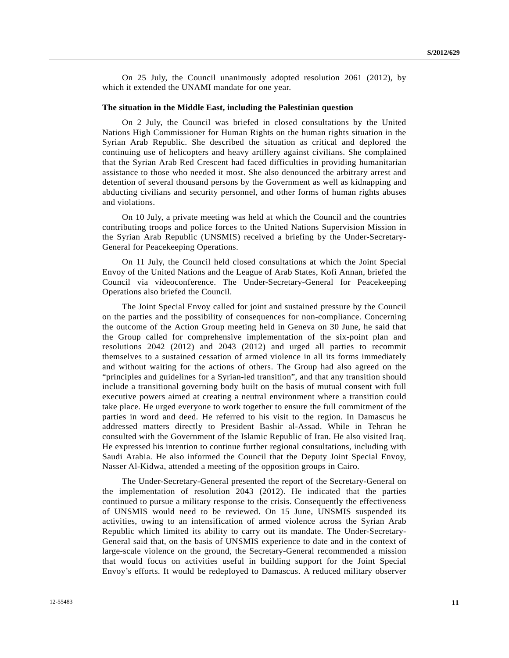On 25 July, the Council unanimously adopted resolution 2061 (2012), by which it extended the UNAMI mandate for one year.

### **The situation in the Middle East, including the Palestinian question**

 On 2 July, the Council was briefed in closed consultations by the United Nations High Commissioner for Human Rights on the human rights situation in the Syrian Arab Republic. She described the situation as critical and deplored the continuing use of helicopters and heavy artillery against civilians. She complained that the Syrian Arab Red Crescent had faced difficulties in providing humanitarian assistance to those who needed it most. She also denounced the arbitrary arrest and detention of several thousand persons by the Government as well as kidnapping and abducting civilians and security personnel, and other forms of human rights abuses and violations.

 On 10 July, a private meeting was held at which the Council and the countries contributing troops and police forces to the United Nations Supervision Mission in the Syrian Arab Republic (UNSMIS) received a briefing by the Under-Secretary-General for Peacekeeping Operations.

 On 11 July, the Council held closed consultations at which the Joint Special Envoy of the United Nations and the League of Arab States, Kofi Annan, briefed the Council via videoconference. The Under-Secretary-General for Peacekeeping Operations also briefed the Council.

 The Joint Special Envoy called for joint and sustained pressure by the Council on the parties and the possibility of consequences for non-compliance. Concerning the outcome of the Action Group meeting held in Geneva on 30 June, he said that the Group called for comprehensive implementation of the six-point plan and resolutions 2042 (2012) and 2043 (2012) and urged all parties to recommit themselves to a sustained cessation of armed violence in all its forms immediately and without waiting for the actions of others. The Group had also agreed on the "principles and guidelines for a Syrian-led transition", and that any transition should include a transitional governing body built on the basis of mutual consent with full executive powers aimed at creating a neutral environment where a transition could take place. He urged everyone to work together to ensure the full commitment of the parties in word and deed. He referred to his visit to the region. In Damascus he addressed matters directly to President Bashir al-Assad. While in Tehran he consulted with the Government of the Islamic Republic of Iran. He also visited Iraq. He expressed his intention to continue further regional consultations, including with Saudi Arabia. He also informed the Council that the Deputy Joint Special Envoy, Nasser Al-Kidwa, attended a meeting of the opposition groups in Cairo.

 The Under-Secretary-General presented the report of the Secretary-General on the implementation of resolution 2043 (2012). He indicated that the parties continued to pursue a military response to the crisis. Consequently the effectiveness of UNSMIS would need to be reviewed. On 15 June, UNSMIS suspended its activities, owing to an intensification of armed violence across the Syrian Arab Republic which limited its ability to carry out its mandate. The Under-Secretary-General said that, on the basis of UNSMIS experience to date and in the context of large-scale violence on the ground, the Secretary-General recommended a mission that would focus on activities useful in building support for the Joint Special Envoy's efforts. It would be redeployed to Damascus. A reduced military observer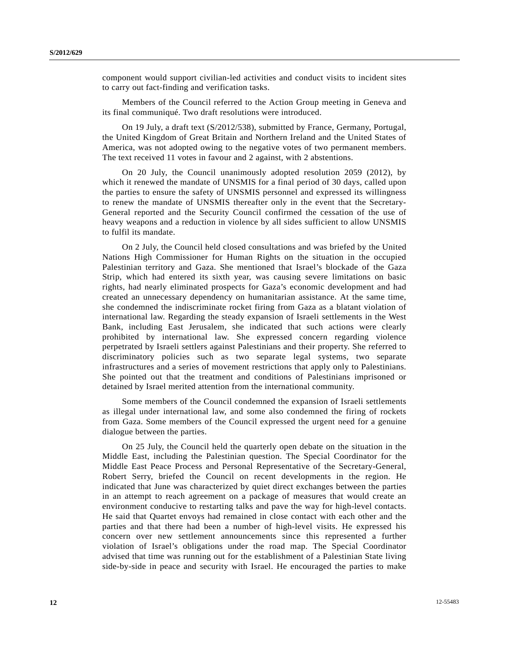component would support civilian-led activities and conduct visits to incident sites to carry out fact-finding and verification tasks.

 Members of the Council referred to the Action Group meeting in Geneva and its final communiqué. Two draft resolutions were introduced.

 On 19 July, a draft text (S/2012/538), submitted by France, Germany, Portugal, the United Kingdom of Great Britain and Northern Ireland and the United States of America, was not adopted owing to the negative votes of two permanent members. The text received 11 votes in favour and 2 against, with 2 abstentions.

 On 20 July, the Council unanimously adopted resolution 2059 (2012), by which it renewed the mandate of UNSMIS for a final period of 30 days, called upon the parties to ensure the safety of UNSMIS personnel and expressed its willingness to renew the mandate of UNSMIS thereafter only in the event that the Secretary-General reported and the Security Council confirmed the cessation of the use of heavy weapons and a reduction in violence by all sides sufficient to allow UNSMIS to fulfil its mandate.

 On 2 July, the Council held closed consultations and was briefed by the United Nations High Commissioner for Human Rights on the situation in the occupied Palestinian territory and Gaza. She mentioned that Israel's blockade of the Gaza Strip, which had entered its sixth year, was causing severe limitations on basic rights, had nearly eliminated prospects for Gaza's economic development and had created an unnecessary dependency on humanitarian assistance. At the same time, she condemned the indiscriminate rocket firing from Gaza as a blatant violation of international law. Regarding the steady expansion of Israeli settlements in the West Bank, including East Jerusalem, she indicated that such actions were clearly prohibited by international law. She expressed concern regarding violence perpetrated by Israeli settlers against Palestinians and their property. She referred to discriminatory policies such as two separate legal systems, two separate infrastructures and a series of movement restrictions that apply only to Palestinians. She pointed out that the treatment and conditions of Palestinians imprisoned or detained by Israel merited attention from the international community.

 Some members of the Council condemned the expansion of Israeli settlements as illegal under international law, and some also condemned the firing of rockets from Gaza. Some members of the Council expressed the urgent need for a genuine dialogue between the parties.

 On 25 July, the Council held the quarterly open debate on the situation in the Middle East, including the Palestinian question. The Special Coordinator for the Middle East Peace Process and Personal Representative of the Secretary-General, Robert Serry, briefed the Council on recent developments in the region. He indicated that June was characterized by quiet direct exchanges between the parties in an attempt to reach agreement on a package of measures that would create an environment conducive to restarting talks and pave the way for high-level contacts. He said that Quartet envoys had remained in close contact with each other and the parties and that there had been a number of high-level visits. He expressed his concern over new settlement announcements since this represented a further violation of Israel's obligations under the road map. The Special Coordinator advised that time was running out for the establishment of a Palestinian State living side-by-side in peace and security with Israel. He encouraged the parties to make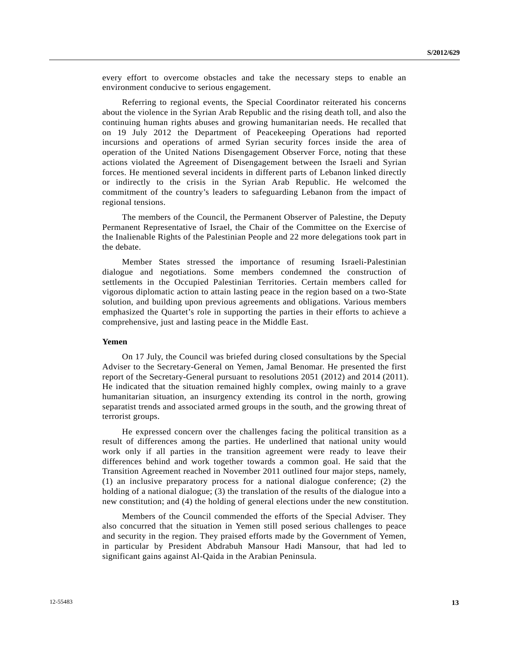every effort to overcome obstacles and take the necessary steps to enable an environment conducive to serious engagement.

 Referring to regional events, the Special Coordinator reiterated his concerns about the violence in the Syrian Arab Republic and the rising death toll, and also the continuing human rights abuses and growing humanitarian needs. He recalled that on 19 July 2012 the Department of Peacekeeping Operations had reported incursions and operations of armed Syrian security forces inside the area of operation of the United Nations Disengagement Observer Force, noting that these actions violated the Agreement of Disengagement between the Israeli and Syrian forces. He mentioned several incidents in different parts of Lebanon linked directly or indirectly to the crisis in the Syrian Arab Republic. He welcomed the commitment of the country's leaders to safeguarding Lebanon from the impact of regional tensions.

 The members of the Council, the Permanent Observer of Palestine, the Deputy Permanent Representative of Israel, the Chair of the Committee on the Exercise of the Inalienable Rights of the Palestinian People and 22 more delegations took part in the debate.

 Member States stressed the importance of resuming Israeli-Palestinian dialogue and negotiations. Some members condemned the construction of settlements in the Occupied Palestinian Territories. Certain members called for vigorous diplomatic action to attain lasting peace in the region based on a two-State solution, and building upon previous agreements and obligations. Various members emphasized the Quartet's role in supporting the parties in their efforts to achieve a comprehensive, just and lasting peace in the Middle East.

#### **Yemen**

 On 17 July, the Council was briefed during closed consultations by the Special Adviser to the Secretary-General on Yemen, Jamal Benomar. He presented the first report of the Secretary-General pursuant to resolutions 2051 (2012) and 2014 (2011). He indicated that the situation remained highly complex, owing mainly to a grave humanitarian situation, an insurgency extending its control in the north, growing separatist trends and associated armed groups in the south, and the growing threat of terrorist groups.

 He expressed concern over the challenges facing the political transition as a result of differences among the parties. He underlined that national unity would work only if all parties in the transition agreement were ready to leave their differences behind and work together towards a common goal. He said that the Transition Agreement reached in November 2011 outlined four major steps, namely, (1) an inclusive preparatory process for a national dialogue conference; (2) the holding of a national dialogue; (3) the translation of the results of the dialogue into a new constitution; and (4) the holding of general elections under the new constitution.

 Members of the Council commended the efforts of the Special Adviser. They also concurred that the situation in Yemen still posed serious challenges to peace and security in the region. They praised efforts made by the Government of Yemen, in particular by President Abdrabuh Mansour Hadi Mansour, that had led to significant gains against Al-Qaida in the Arabian Peninsula.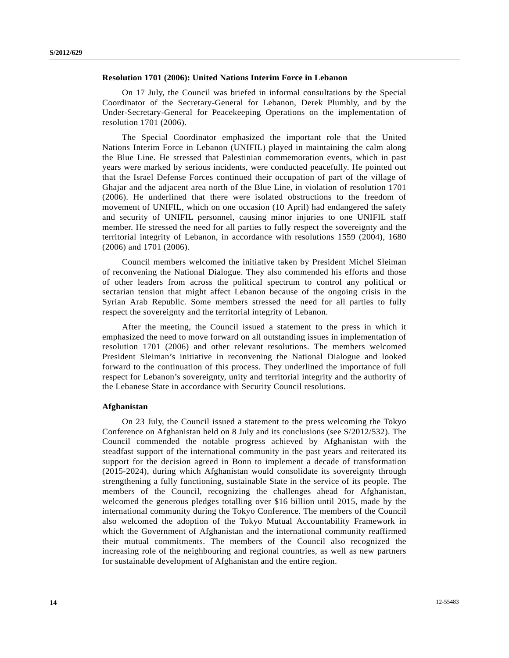#### **Resolution 1701 (2006): United Nations Interim Force in Lebanon**

 On 17 July, the Council was briefed in informal consultations by the Special Coordinator of the Secretary-General for Lebanon, Derek Plumbly, and by the Under-Secretary-General for Peacekeeping Operations on the implementation of resolution 1701 (2006).

 The Special Coordinator emphasized the important role that the United Nations Interim Force in Lebanon (UNIFIL) played in maintaining the calm along the Blue Line. He stressed that Palestinian commemoration events, which in past years were marked by serious incidents, were conducted peacefully. He pointed out that the Israel Defense Forces continued their occupation of part of the village of Ghajar and the adjacent area north of the Blue Line, in violation of resolution 1701 (2006). He underlined that there were isolated obstructions to the freedom of movement of UNIFIL, which on one occasion (10 April) had endangered the safety and security of UNIFIL personnel, causing minor injuries to one UNIFIL staff member. He stressed the need for all parties to fully respect the sovereignty and the territorial integrity of Lebanon, in accordance with resolutions 1559 (2004), 1680 (2006) and 1701 (2006).

 Council members welcomed the initiative taken by President Michel Sleiman of reconvening the National Dialogue. They also commended his efforts and those of other leaders from across the political spectrum to control any political or sectarian tension that might affect Lebanon because of the ongoing crisis in the Syrian Arab Republic. Some members stressed the need for all parties to fully respect the sovereignty and the territorial integrity of Lebanon.

 After the meeting, the Council issued a statement to the press in which it emphasized the need to move forward on all outstanding issues in implementation of resolution 1701 (2006) and other relevant resolutions. The members welcomed President Sleiman's initiative in reconvening the National Dialogue and looked forward to the continuation of this process. They underlined the importance of full respect for Lebanon's sovereignty, unity and territorial integrity and the authority of the Lebanese State in accordance with Security Council resolutions.

#### **Afghanistan**

 On 23 July, the Council issued a statement to the press welcoming the Tokyo Conference on Afghanistan held on 8 July and its conclusions (see S/2012/532). The Council commended the notable progress achieved by Afghanistan with the steadfast support of the international community in the past years and reiterated its support for the decision agreed in Bonn to implement a decade of transformation (2015-2024), during which Afghanistan would consolidate its sovereignty through strengthening a fully functioning, sustainable State in the service of its people. The members of the Council, recognizing the challenges ahead for Afghanistan, welcomed the generous pledges totalling over \$16 billion until 2015, made by the international community during the Tokyo Conference. The members of the Council also welcomed the adoption of the Tokyo Mutual Accountability Framework in which the Government of Afghanistan and the international community reaffirmed their mutual commitments. The members of the Council also recognized the increasing role of the neighbouring and regional countries, as well as new partners for sustainable development of Afghanistan and the entire region.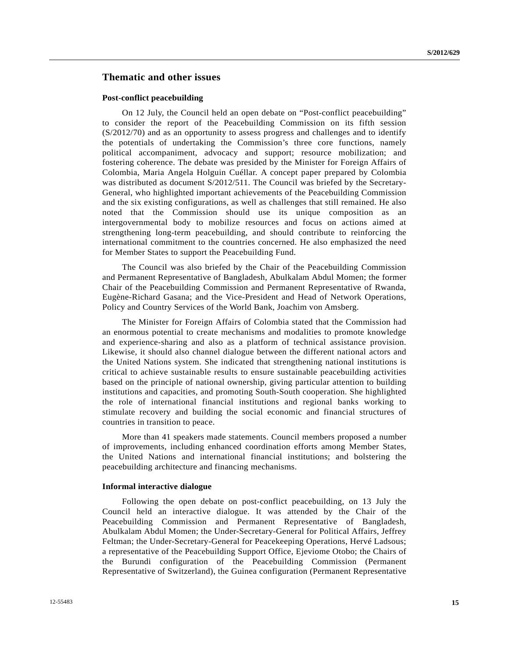# **Thematic and other issues**

#### **Post-conflict peacebuilding**

 On 12 July, the Council held an open debate on "Post-conflict peacebuilding" to consider the report of the Peacebuilding Commission on its fifth session (S/2012/70) and as an opportunity to assess progress and challenges and to identify the potentials of undertaking the Commission's three core functions, namely political accompaniment, advocacy and support; resource mobilization; and fostering coherence. The debate was presided by the Minister for Foreign Affairs of Colombia, Maria Angela Holguin Cuéllar. A concept paper prepared by Colombia was distributed as document S/2012/511. The Council was briefed by the Secretary-General, who highlighted important achievements of the Peacebuilding Commission and the six existing configurations, as well as challenges that still remained. He also noted that the Commission should use its unique composition as an intergovernmental body to mobilize resources and focus on actions aimed at strengthening long-term peacebuilding, and should contribute to reinforcing the international commitment to the countries concerned. He also emphasized the need for Member States to support the Peacebuilding Fund.

 The Council was also briefed by the Chair of the Peacebuilding Commission and Permanent Representative of Bangladesh, Abulkalam Abdul Momen; the former Chair of the Peacebuilding Commission and Permanent Representative of Rwanda, Eugène-Richard Gasana; and the Vice-President and Head of Network Operations, Policy and Country Services of the World Bank, Joachim von Amsberg.

 The Minister for Foreign Affairs of Colombia stated that the Commission had an enormous potential to create mechanisms and modalities to promote knowledge and experience-sharing and also as a platform of technical assistance provision. Likewise, it should also channel dialogue between the different national actors and the United Nations system. She indicated that strengthening national institutions is critical to achieve sustainable results to ensure sustainable peacebuilding activities based on the principle of national ownership, giving particular attention to building institutions and capacities, and promoting South-South cooperation. She highlighted the role of international financial institutions and regional banks working to stimulate recovery and building the social economic and financial structures of countries in transition to peace.

 More than 41 speakers made statements. Council members proposed a number of improvements, including enhanced coordination efforts among Member States, the United Nations and international financial institutions; and bolstering the peacebuilding architecture and financing mechanisms.

#### **Informal interactive dialogue**

 Following the open debate on post-conflict peacebuilding, on 13 July the Council held an interactive dialogue. It was attended by the Chair of the Peacebuilding Commission and Permanent Representative of Bangladesh, Abulkalam Abdul Momen; the Under-Secretary-General for Political Affairs, Jeffrey Feltman; the Under-Secretary-General for Peacekeeping Operations, Hervé Ladsous; a representative of the Peacebuilding Support Office, Ejeviome Otobo; the Chairs of the Burundi configuration of the Peacebuilding Commission (Permanent Representative of Switzerland), the Guinea configuration (Permanent Representative